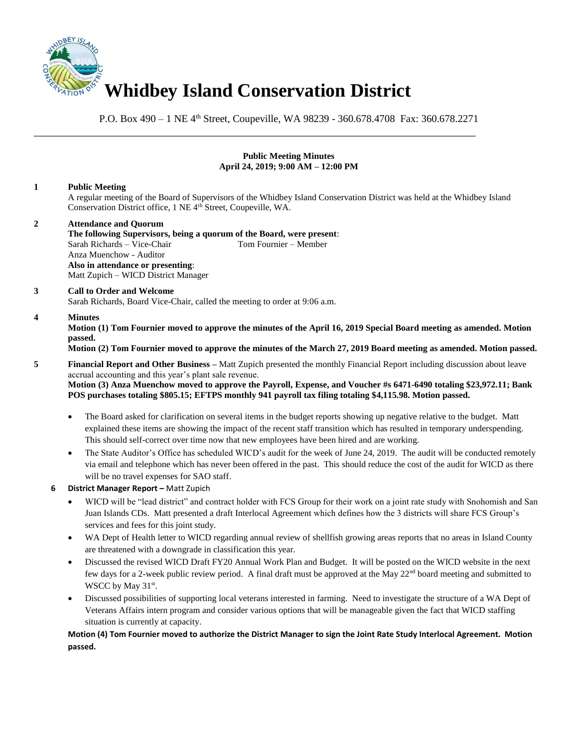

P.O. Box 490 – 1 NE 4<sup>th</sup> Street, Coupeville, WA 98239 - 360.678.4708 Fax: 360.678.2271

\_\_\_\_\_\_\_\_\_\_\_\_\_\_\_\_\_\_\_\_\_\_\_\_\_\_\_\_\_\_\_\_\_\_\_\_\_\_\_\_\_\_\_\_\_\_\_\_\_\_\_\_\_\_\_\_\_\_\_\_\_\_\_\_\_\_\_\_\_\_\_\_\_\_\_\_\_\_

# **Public Meeting Minutes April 24, 2019; 9:00 AM – 12:00 PM**

# **1 Public Meeting**

A regular meeting of the Board of Supervisors of the Whidbey Island Conservation District was held at the Whidbey Island Conservation District office, 1 NE 4<sup>th</sup> Street, Coupeville, WA.

**2 Attendance and Quorum The following Supervisors, being a quorum of the Board, were present**: Sarah Richards – Vice-Chair Tom Fournier – Member Anza Muenchow - Auditor **Also in attendance or presenting**: Matt Zupich – WICD District Manager

# **3 Call to Order and Welcome**

Sarah Richards, Board Vice-Chair, called the meeting to order at 9:06 a.m.

### **4 Minutes**

**Motion (1) Tom Fournier moved to approve the minutes of the April 16, 2019 Special Board meeting as amended. Motion passed.** 

### **Motion (2) Tom Fournier moved to approve the minutes of the March 27, 2019 Board meeting as amended. Motion passed.**

**5 Financial Report and Other Business –** Matt Zupich presented the monthly Financial Report including discussion about leave accrual accounting and this year's plant sale revenue.

**Motion (3) Anza Muenchow moved to approve the Payroll, Expense, and Voucher #s 6471-6490 totaling \$23,972.11; Bank POS purchases totaling \$805.15; EFTPS monthly 941 payroll tax filing totaling \$4,115.98. Motion passed.** 

- The Board asked for clarification on several items in the budget reports showing up negative relative to the budget. Matt explained these items are showing the impact of the recent staff transition which has resulted in temporary underspending. This should self-correct over time now that new employees have been hired and are working.
- The State Auditor's Office has scheduled WICD's audit for the week of June 24, 2019. The audit will be conducted remotely via email and telephone which has never been offered in the past. This should reduce the cost of the audit for WICD as there will be no travel expenses for SAO staff.
- **6 District Manager Report –** Matt Zupich
	- WICD will be "lead district" and contract holder with FCS Group for their work on a joint rate study with Snohomish and San Juan Islands CDs. Matt presented a draft Interlocal Agreement which defines how the 3 districts will share FCS Group's services and fees for this joint study.
	- WA Dept of Health letter to WICD regarding annual review of shellfish growing areas reports that no areas in Island County are threatened with a downgrade in classification this year.
	- Discussed the revised WICD Draft FY20 Annual Work Plan and Budget. It will be posted on the WICD website in the next few days for a 2-week public review period. A final draft must be approved at the May  $22<sup>nd</sup>$  board meeting and submitted to WSCC by May 31<sup>st</sup>.
	- Discussed possibilities of supporting local veterans interested in farming. Need to investigate the structure of a WA Dept of Veterans Affairs intern program and consider various options that will be manageable given the fact that WICD staffing situation is currently at capacity.

# **Motion (4) Tom Fournier moved to authorize the District Manager to sign the Joint Rate Study Interlocal Agreement. Motion passed.**